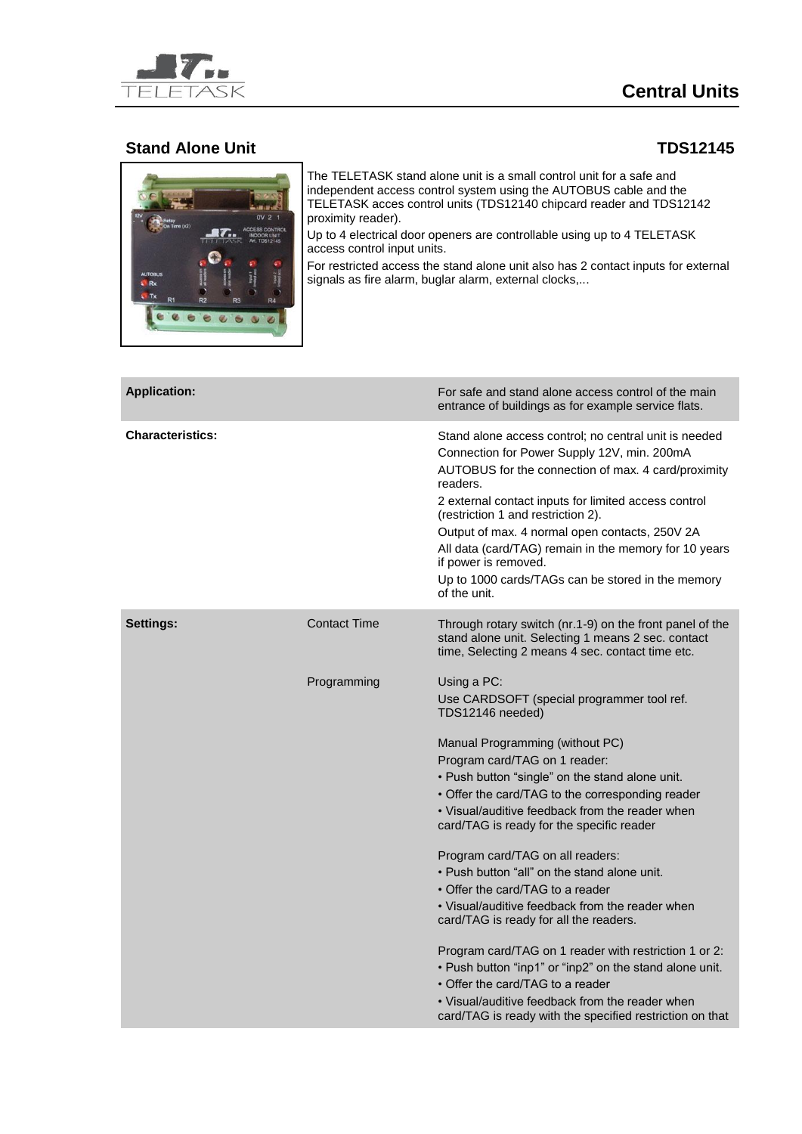

## **Central Units**

## **Stand Alone Unit TDS12145**



The TELETASK stand alone unit is a small control unit for a safe and independent access control system using the AUTOBUS cable and the TELETASK acces control units (TDS12140 chipcard reader and TDS12142 proximity reader).

Up to 4 electrical door openers are controllable using up to 4 TELETASK access control input units.

For restricted access the stand alone unit also has 2 contact inputs for external signals as fire alarm, buglar alarm, external clocks,...

| <b>Application:</b>     |                     | For safe and stand alone access control of the main<br>entrance of buildings as for example service flats.                                                                                                                                                                                                                                                                                                                                                                                                                                                                                                                                                                                                                                                                                                                                           |
|-------------------------|---------------------|------------------------------------------------------------------------------------------------------------------------------------------------------------------------------------------------------------------------------------------------------------------------------------------------------------------------------------------------------------------------------------------------------------------------------------------------------------------------------------------------------------------------------------------------------------------------------------------------------------------------------------------------------------------------------------------------------------------------------------------------------------------------------------------------------------------------------------------------------|
| <b>Characteristics:</b> |                     | Stand alone access control; no central unit is needed<br>Connection for Power Supply 12V, min. 200mA<br>AUTOBUS for the connection of max. 4 card/proximity<br>readers.<br>2 external contact inputs for limited access control<br>(restriction 1 and restriction 2).<br>Output of max. 4 normal open contacts, 250V 2A<br>All data (card/TAG) remain in the memory for 10 years<br>if power is removed.<br>Up to 1000 cards/TAGs can be stored in the memory<br>of the unit.                                                                                                                                                                                                                                                                                                                                                                        |
| Settings:               | <b>Contact Time</b> | Through rotary switch (nr.1-9) on the front panel of the<br>stand alone unit. Selecting 1 means 2 sec. contact<br>time, Selecting 2 means 4 sec. contact time etc.                                                                                                                                                                                                                                                                                                                                                                                                                                                                                                                                                                                                                                                                                   |
|                         | Programming         | Using a PC:<br>Use CARDSOFT (special programmer tool ref.<br>TDS12146 needed)<br>Manual Programming (without PC)<br>Program card/TAG on 1 reader:<br>. Push button "single" on the stand alone unit.<br>• Offer the card/TAG to the corresponding reader<br>• Visual/auditive feedback from the reader when<br>card/TAG is ready for the specific reader<br>Program card/TAG on all readers:<br>• Push button "all" on the stand alone unit.<br>• Offer the card/TAG to a reader<br>• Visual/auditive feedback from the reader when<br>card/TAG is ready for all the readers.<br>Program card/TAG on 1 reader with restriction 1 or 2:<br>• Push button "inp1" or "inp2" on the stand alone unit.<br>• Offer the card/TAG to a reader<br>• Visual/auditive feedback from the reader when<br>card/TAG is ready with the specified restriction on that |